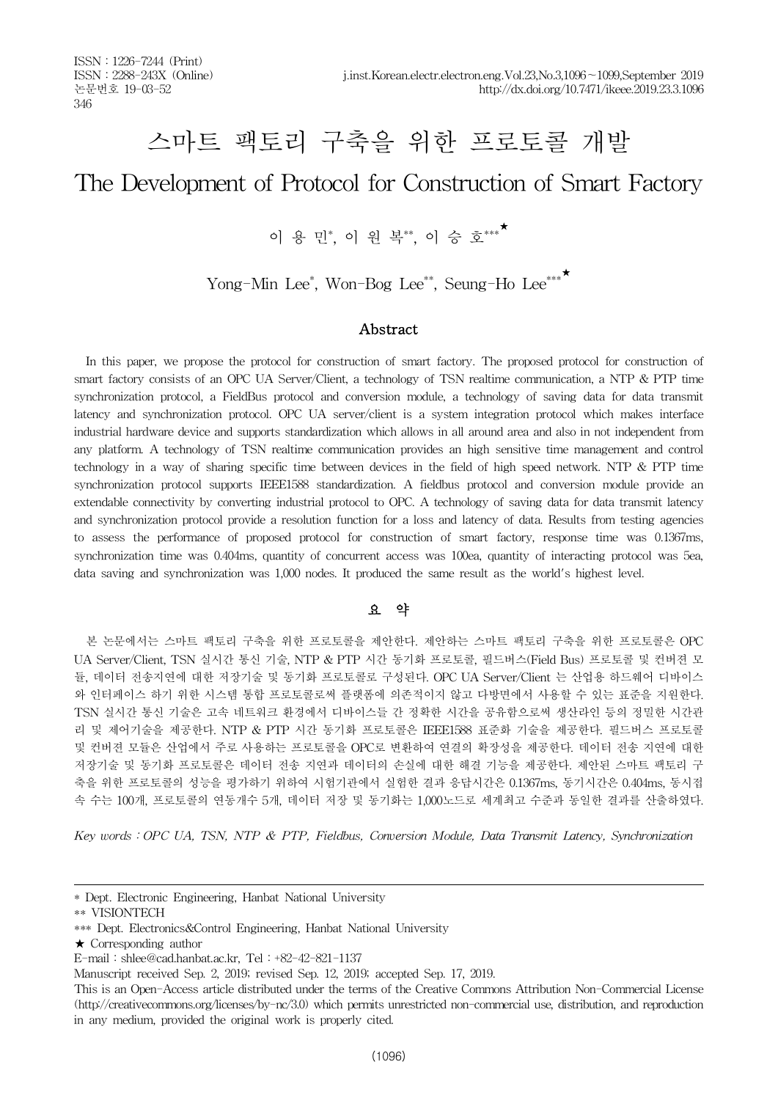# 스마트 팩토리 구축을 위한 프로토콜 개발

# The Development of Protocol for Construction of Smart Factory

이 용 민\*, 이 원 복\*\*, 이 승 호\*\*\*<sup>★</sup>

Yong-Min Lee<sup>\*</sup>, Won-Bog Lee<sup>\*\*</sup>, Seung-Ho Lee<sup>\*\*\*</sup>

## Abstract

In this paper, we propose the protocol for construction of smart factory. The proposed protocol for construction of smart factory consists of an OPC UA Server/Client, a technology of TSN realtime communication, a NTP & PTP time synchronization protocol, a FieldBus protocol and conversion module, a technology of saving data for data transmit latency and synchronization protocol. OPC UA server/client is a system integration protocol which makes interface industrial hardware device and supports standardization which allows in all around area and also in not independent from any platform. A technology of TSN realtime communication provides an high sensitive time management and control technology in a way of sharing specific time between devices in the field of high speed network. NTP & PTP time synchronization protocol supports IEEE1588 standardization. A fieldbus protocol and conversion module provide an extendable connectivity by converting industrial protocol to OPC. A technology of saving data for data transmit latency and synchronization protocol provide a resolution function for a loss and latency of data. Results from testing agencies to assess the performance of proposed protocol for construction of smart factory, response time was 0.1367ms, synchronization time was 0.404ms, quantity of concurrent access was 100ea, quantity of interacting protocol was 5ea, data saving and synchronization was 1,000 nodes. It produced the same result as the world's highest level.

# 요 약

본 논문에서는 스마트 팩토리 구축을 위한 프로토콜을 제안한다. 제안하는 스마트 팩토리 구축을 위한 프로토콜은 OPC UA Server/Client, TSN 실시간 통신 기술, NTP & PTP 시간 동기화 프로토콜, 필드버스(Field Bus) 프로토콜 및 컨버젼 모 듈, 데이터 전송지연에 대한 저장기술 및 동기화 프로토콜로 구성된다. OPC UA Server/Client 는 산업용 하드웨어 디바이스 와 인터페이스 하기 위한 시스템 통합 프로토콜로써 플랫폼에 의존적이지 않고 다방면에서 사용할 수 있는 표준을 지원한다. TSN 실시간 통신 기술은 고속 네트워크 환경에서 디바이스들 간 정확한 시간을 공유함으로써 생산라인 등의 정밀한 시간관 리 및 제어기술을 제공한다. NTP & PTP 시간 동기화 프로토콜은 IEEE1588 표준화 기술을 제공한다. 필드버스 프로토콜 및 컨버젼 모듈은 산업에서 주로 사용하는 프로토콜을 OPC로 변환하여 연결의 확장성을 제공한다. 데이터 전송 지연에 대한 저장기술 및 동기화 프로토콜은 데이터 전송 지연과 데이터의 손실에 대한 해결 기능을 제공한다. 제안된 스마트 팩토리 구 축을 위한 프로토콜의 성능을 평가하기 위하여 시험기관에서 실험한 결과 응답시간은 0.1367ms, 동기시간은 0.404ms, 동시접 속 수는 100개, 프로토콜의 연동개수 5개, 데이터 저장 및 동기화는 1,000노드로 세계최고 수준과 동일한 결과를 산출하였다.

*Key words*:*OPC UA, TSN, NTP & PTP, Fieldbus, Conversion Module, Data Transmit Latency, Synchronization*

<sup>\*</sup> Dept. Electronic Engineering, Hanbat National University

<sup>\*\*</sup> VISIONTECH

<sup>\*\*\*</sup> Dept. Electronics&Control Engineering, Hanbat National University

<sup>★</sup> Corresponding author

E-mail:shlee@cad.hanbat.ac.kr, Tel:+82-42-821-1137

Manuscript received Sep. 2, 2019; revised Sep. 12, 2019; accepted Sep. 17, 2019.

This is an Open-Access article distributed under the terms of the Creative Commons Attribution Non-Commercial License (http://creativecommons.org/licenses/by-nc/3.0) which permits unrestricted non-commercial use, distribution, and reproduction in any medium, provided the original work is properly cited.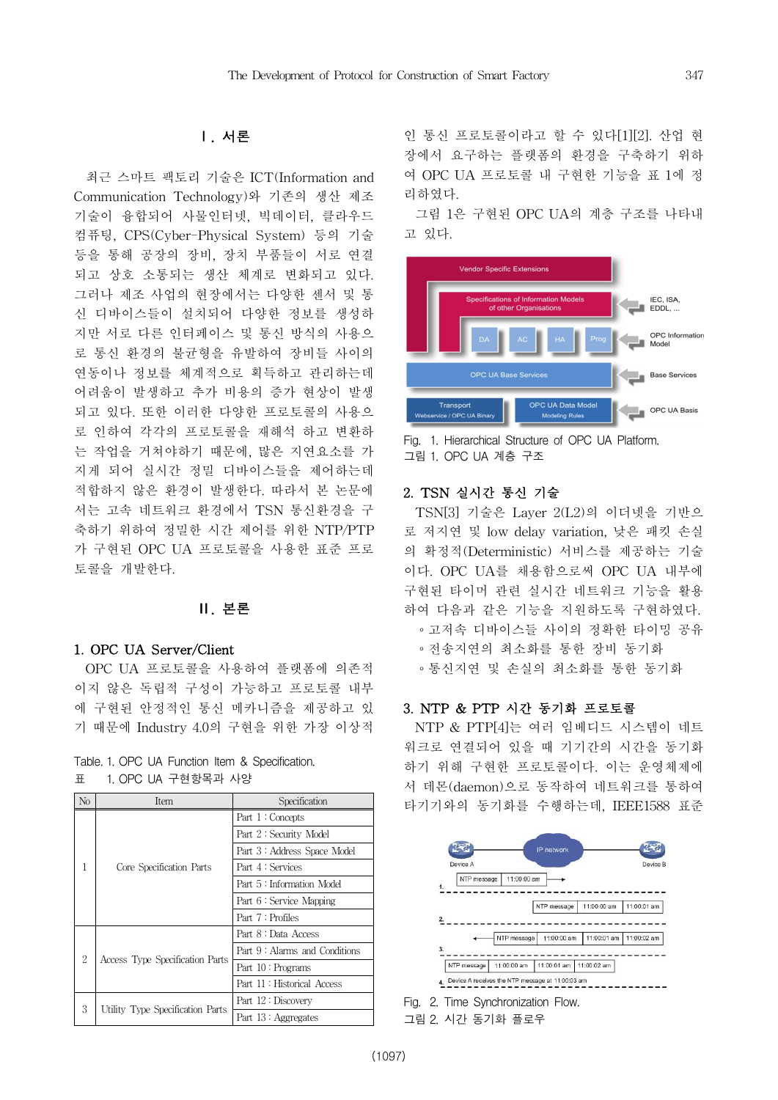## Ⅰ. 서론

최근 스마트 팩토리 기술은 ICT(Information and Communication Technology)와 기존의 생산 제조 기술이 융합되어 사물인터넷, 빅데이터, 클라우드 컴퓨팅, CPS(Cyber-Physical System) 등의 기술 등을 통해 공장의 장비, 장치 부품들이 서로 연결 되고 상호 소통되는 생산 체계로 변화되고 있다. 그러나 제조 사업의 현장에서는 다양한 센서 및 통 신 디바이스들이 설치되어 다양한 정보를 생성하 지만 서로 다른 인터페이스 및 통신 방식의 사용으 로 통신 환경의 불균형을 유발하여 장비들 사이의 연동이나 정보를 체계적으로 획득하고 관리하는데 어려움이 발생하고 추가 비용의 증가 현상이 발생 되고 있다. 또한 이러한 다양한 프로토콜의 사용으 로 인하여 각각의 프로토콜을 재해석 하고 변환하 는 작업을 거쳐야하기 때문에, 많은 지연요소를 가 지게 되어 실시간 정밀 디바이스들을 제어하는데 적합하지 않은 환경이 발생한다. 따라서 본 논문에 서는 고속 네트워크 환경에서 TSN 통신환경을 구 축하기 위하여 정밀한 시간 제어를 위한 NTP/PTP 가 구현된 OPC UA 프로토콜을 사용한 표준 프로 토콜을 개발한다.

# Ⅱ. 본론

# 1. OPC UA Server/Client

OPC UA 프로토콜을 사용하여 플랫폼에 의존적 이지 않은 독립적 구성이 가능하고 프로토콜 내부 에 구현된 안정적인 통신 메카니즘을 제공하고 있 기 때문에 Industry 4.0의 구현을 위한 가장 이상적

|   |  |                    |  | Table. 1. OPC UA Function Item & Specification. |
|---|--|--------------------|--|-------------------------------------------------|
| 표 |  | 1. OPC UA 구현항목과 사양 |  |                                                 |

| No | Item                             | Specification                 |  |  |
|----|----------------------------------|-------------------------------|--|--|
|    |                                  | Part 1: Concepts              |  |  |
|    |                                  | Part 2: Security Model        |  |  |
|    |                                  | Part 3: Address Space Model   |  |  |
|    | Core Specification Parts         | Part 4 : Services             |  |  |
|    |                                  | Part 5: Information Model     |  |  |
|    |                                  | Part 6 : Service Mapping      |  |  |
|    |                                  | Part 7: Profiles              |  |  |
|    |                                  | Part 8 : Data Access          |  |  |
| 2  |                                  | Part 9: Alarms and Conditions |  |  |
|    | Access Type Specification Parts  | Part 10: Programs             |  |  |
|    |                                  | Part 11: Historical Access    |  |  |
| 3  |                                  | Part 12: Discovery            |  |  |
|    | Utility Type Specification Parts | Part 13: Aggregates           |  |  |

인 통신 프로토콜이라고 할 수 있다[1][2]. 산업 현 장에서 요구하는 플랫폼의 환경을 구축하기 위하 여 OPC UA 프로토콜 내 구현한 기능을 표 1에 정 리하였다.

그림 1은 구현된 OPC UA의 계층 구조를 나타내 고 있다.



Fig. 1. Hierarchical Structure of OPC UA Platform. 그림 1. OPC UA 계층 구조

# 2. TSN 실시간 통신 기술

TSN[3] 기술은 Layer 2(L2)의 이더넷을 기반으 로 저지연 및 low delay variation, 낮은 패킷 손실 의 확정적(Deterministic) 서비스를 제공하는 기술 이다. OPC UA를 채용함으로써 OPC UA 내부에 구현된 타이머 관련 실시간 네트워크 기능을 활용 하여 다음과 같은 기능을 지원하도록 구현하였다. ∘고저속 디바이스들 사이의 정확한 타이밍 공유 ∘전송지연의 최소화를 통한 장비 동기화 ∘통신지연 및 손실의 최소화를 통한 동기화

#### 3. NTP & PTP 시간 동기화 프로토콜

NTP & PTP[4]는 여러 임베디드 시스템이 네트 워크로 연결되어 있을 때 기기간의 시간을 동기화 하기 위해 구현한 프로토콜이다. 이는 운영체제에 서 데몬(daemon)으로 동작하여 네트워크를 통하여 타기기와의 동기화를 수행하는데, IEEE1588 표준



그림 2. 시간 동기화 플로우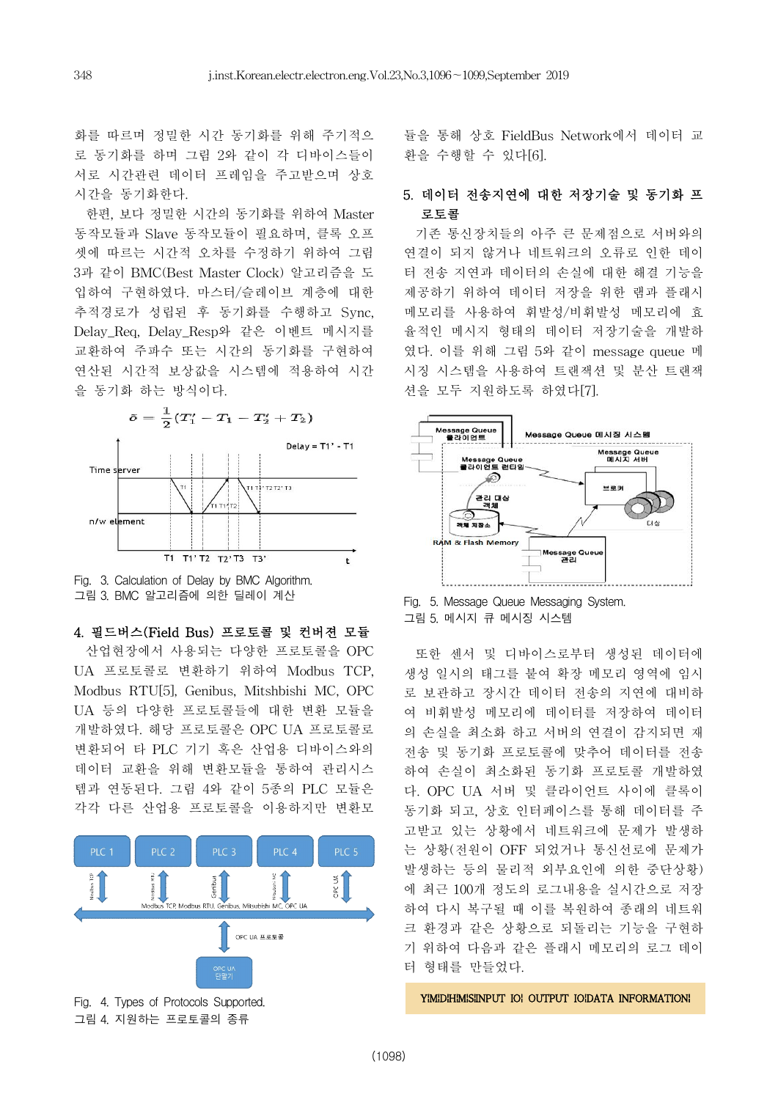화를 따르며 정밀한 시간 동기화를 위해 주기적으 로 동기화를 하며 그림 2와 같이 각 디바이스들이 서로 시간관련 데이터 프레임을 주고받으며 상호 시간을 동기화한다.

한편, 보다 정밀한 시간의 동기화를 위하여 Master 동작모듈과 Slave 동작모듈이 필요하며, 클록 오프 셋에 따르는 시간적 오차를 수정하기 위하여 그림 3과 같이 BMC(Best Master Clock) 알고리즘을 도 입하여 구현하였다. 마스터/슬레이브 계층에 대한 추적경로가 성립된 후 동기화를 수행하고 Sync, Delay\_Req, Delay\_Resp와 같은 이벤트 메시지를 교환하여 주파수 또는 시간의 동기화를 구현하여 연산된 시간적 보상값을 시스템에 적용하여 시간 을 동기화 하는 방식이다.



Fig. 3. Calculation of Delay by BMC Algorithm. 그림 3. BMC 알고리즘에 의한 딜레이 계산

4. 필드버스(Field Bus) 프로토콜 및 컨버젼 모듈

산업현장에서 사용되는 다양한 프로토콜을 OPC UA 프로토콜로 변환하기 위하여 Modbus TCP, Modbus RTU[5], Genibus, Mitshbishi MC, OPC UA 등의 다양한 프로토콜들에 대한 변환 모듈을 개발하였다. 해당 프로토콜은 OPC UA 프로토콜로 변환되어 타 PLC 기기 혹은 산업용 디바이스와의 데이터 교환을 위해 변환모듈을 통하여 관리시스 템과 연동된다. 그림 4와 같이 5종의 PLC 모듈은 각각 다른 산업용 프로토콜을 이용하지만 변환모



그림 4. 지원하는 프로토콜의 종류

듈을 통해 상호 FieldBus Network에서 데이터 교 환을 수행할 수 있다[6].

# 5. 데이터 전송지연에 대한 저장기술 및 동기화 프 로토콜

기존 통신장치들의 아주 큰 문제점으로 서버와의 연결이 되지 않거나 네트워크의 오류로 인한 데이 터 전송 지연과 데이터의 손실에 대한 해결 기능을 제공하기 위하여 데이터 저장을 위한 램과 플래시 메모리를 사용하여 휘발성/비휘발성 메모리에 효 율적인 메시지 형태의 데이터 저장기술을 개발하 였다. 이를 위해 그림 5와 같이 message queue 메 시징 시스템을 사용하여 트랜잭션 및 분산 트랜잭 션을 모두 지원하도록 하였다[7].



Fig. 5. Message Queue Messaging System. 그림 5. 메시지 큐 메시징 시스템

또한 센서 및 디바이스로부터 생성된 데이터에 생성 일시의 태그를 붙여 확장 메모리 영역에 임시 로 보관하고 장시간 데이터 전송의 지연에 대비하 여 비휘발성 메모리에 데이터를 저장하여 데이터 의 손실을 최소화 하고 서버의 연결이 감지되면 재 전송 및 동기화 프로토콜에 맞추어 데이터를 전송 하여 손실이 최소화된 동기화 프로토콜 개발하였 다. OPC UA 서버 및 클라이언트 사이에 클록이 동기화 되고, 상호 인터페이스를 통해 데이터를 주 고받고 있는 상황에서 네트워크에 문제가 발생하 는 상황(전원이 OFF 되었거나 통신선로에 문제가 발생하는 등의 물리적 외부요인에 의한 중단상황) 에 최근 100개 정도의 로그내용을 실시간으로 저장 하여 다시 복구될 때 이를 복원하여 종래의 네트워 크 환경과 같은 상황으로 되돌리는 기능을 구현하 기 위하여 다음과 같은 플래시 메모리의 로그 데이 터 형태를 만들었다.

YIMIDIHIMISIINPUT IOI OUTPUT IOIDATA INFORMATIONI